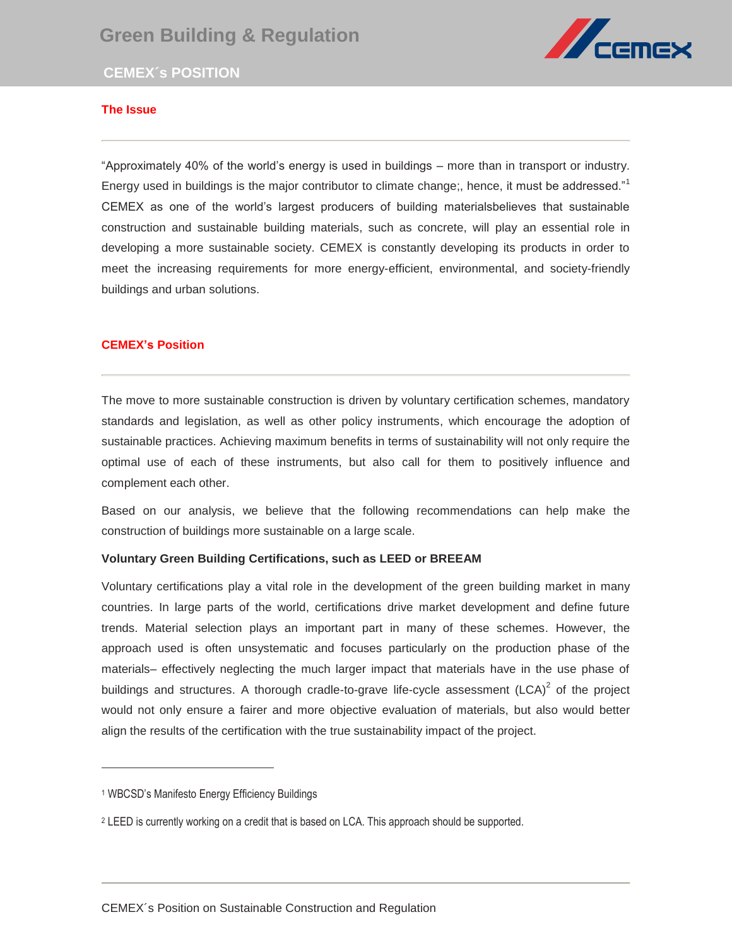# **Green Building & Regulation**





# **The Issue**

"Approximately 40% of the world's energy is used in buildings – more than in transport or industry. Energy used in buildings is the major contributor to climate change;, hence, it must be addressed."<sup>1</sup> Litergy used in buildings is the major contributor to climate change,, herice, it must be addressed.<br>CEMEX as one of the world's largest producers of building materialsbelieves that sustainable construction and sustainable building materials, such as concrete, will play an essential role in developing a more sustainable society. CEMEX is constantly developing its products in order to meet the increasing requirements for more energy-efficient, environmental, and society-friendly buildings and urban solutions.

### **CEMEX's Position**

The move to more sustainable construction is driven by voluntary certification schemes, mandatory standards and legislation, as well as other policy instruments, which encourage the adoption of sustainable practices. Achieving maximum benefits in terms of sustainability will not only require the optimal use of each of these instruments, but also call for them to positively influence and complement each other.

Based on our analysis, we believe that the following recommendations can help make the construction of buildings more sustainable on a large scale.

### **Voluntary Green Building Certifications, such as LEED or BREEAM**

Voluntary certifications play a vital role in the development of the green building market in many countries. In large parts of the world, certifications drive market development and define future trends. Material selection plays an important part in many of these schemes. However, the approach used is often unsystematic and focuses particularly on the production phase of the materials– effectively neglecting the much larger impact that materials have in the use phase of buildings and structures. A thorough cradle-to-grave life-cycle assessment  $(LCA)^2$  of the project would not only ensure a fairer and more objective evaluation of materials, but also would better align the results of the certification with the true sustainability impact of the project.

 $\overline{a}$ 

<sup>1</sup> WBCSD's Manifesto Energy Efficiency Buildings

<sup>2</sup> LEED is currently working on a credit that is based on LCA. This approach should be supported.